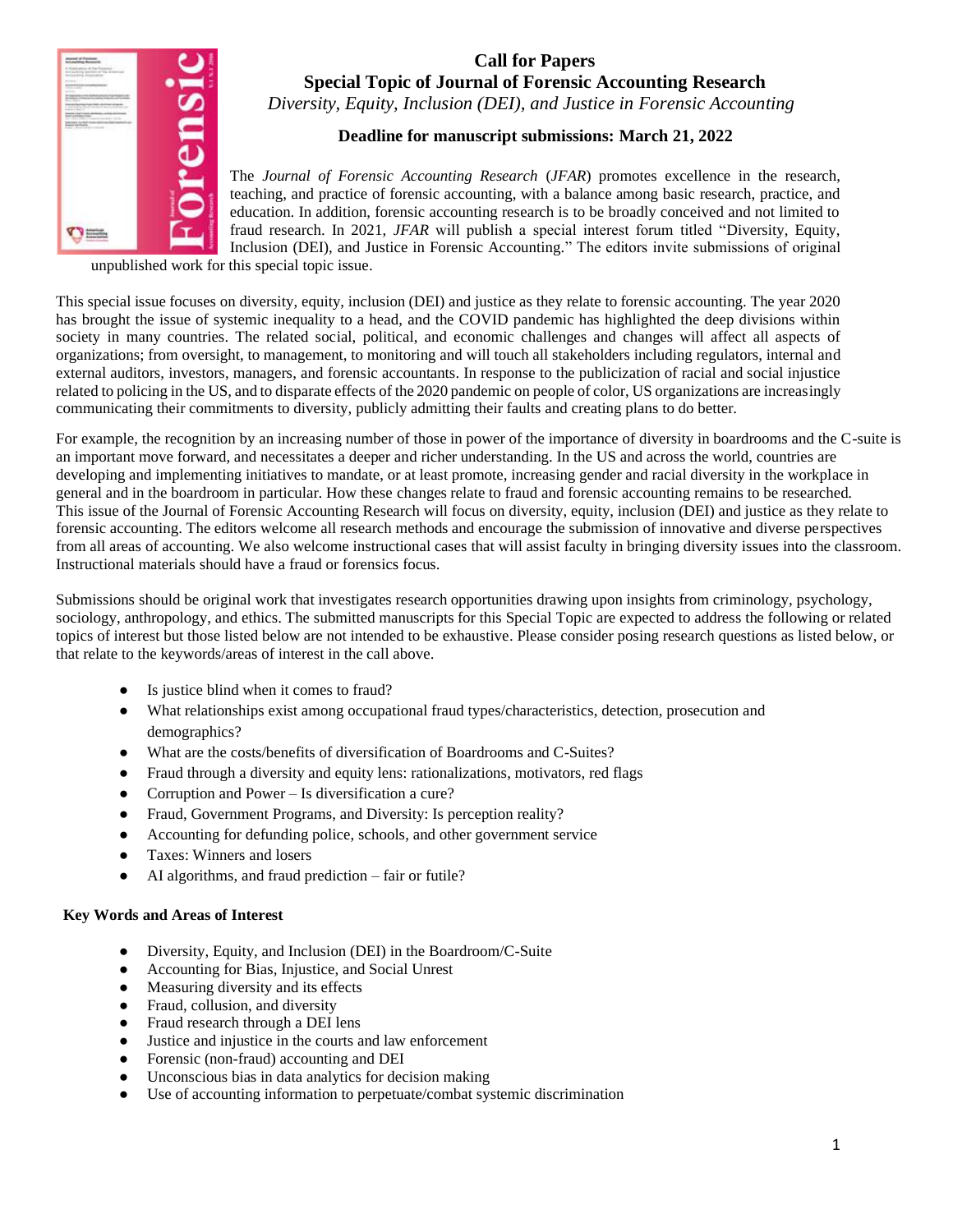

# **Call for Papers Special Topic of Journal of Forensic Accounting Research** *Diversity, Equity, Inclusion (DEI), and Justice in Forensic Accounting*

# **Deadline for manuscript submissions: March 21, 2022**

The *Journal of Forensic Accounting Research* (*JFAR*) promotes excellence in the research, teaching, and practice of forensic accounting, with a balance among basic research, practice, and education. In addition, forensic accounting research is to be broadly conceived and not limited to fraud research. In 2021, *JFAR* will publish a special interest forum titled "Diversity, Equity, Inclusion (DEI), and Justice in Forensic Accounting." The editors invite submissions of original

unpublished work for this special topic issue.

This special issue focuses on diversity, equity, inclusion (DEI) and justice as they relate to forensic accounting. The year 2020 has brought the issue of systemic inequality to a head, and the COVID pandemic has highlighted the deep divisions within society in many countries. The related social, political, and economic challenges and changes will affect all aspects of organizations; from oversight, to management, to monitoring and will touch all stakeholders including regulators, internal and external auditors, investors, managers, and forensic accountants. In response to the publicization of racial and social injustice related to policing in the US, and to disparate effects of the 2020 pandemic on people of color, US organizations are increasingly communicating their commitments to diversity, publicly admitting their faults and creating plans to do better.

For example, the recognition by an increasing number of those in power of the importance of diversity in boardrooms and the C-suite is an important move forward, and necessitates a deeper and richer understanding. In the US and across the world, countries are developing and implementing initiatives to mandate, or at least promote, increasing gender and racial diversity in the workplace in general and in the boardroom in particular. How these changes relate to fraud and forensic accounting remains to be researched. This issue of the Journal of Forensic Accounting Research will focus on diversity, equity, inclusion (DEI) and justice as they relate to forensic accounting. The editors welcome all research methods and encourage the submission of innovative and diverse perspectives from all areas of accounting. We also welcome instructional cases that will assist faculty in bringing diversity issues into the classroom. Instructional materials should have a fraud or forensics focus.

Submissions should be original work that investigates research opportunities drawing upon insights from criminology, psychology, sociology, anthropology, and ethics. The submitted manuscripts for this Special Topic are expected to address the following or related topics of interest but those listed below are not intended to be exhaustive. Please consider posing research questions as listed below, or that relate to the keywords/areas of interest in the call above.

- Is justice blind when it comes to fraud?
- What relationships exist among occupational fraud types/characteristics, detection, prosecution and demographics?
- What are the costs/benefits of diversification of Boardrooms and C-Suites?
- Fraud through a diversity and equity lens: rationalizations, motivators, red flags
- Corruption and Power Is diversification a cure?
- Fraud, Government Programs, and Diversity: Is perception reality?
- Accounting for defunding police, schools, and other government service
- Taxes: Winners and losers
- AI algorithms, and fraud prediction fair or futile?

#### **Key Words and Areas of Interest**

- Diversity, Equity, and Inclusion (DEI) in the Boardroom/C-Suite
- Accounting for Bias, Injustice, and Social Unrest
- Measuring diversity and its effects
- Fraud, collusion, and diversity
- Fraud research through a DEI lens
- Justice and injustice in the courts and law enforcement
- Forensic (non-fraud) accounting and DEI
- Unconscious bias in data analytics for decision making
- Use of accounting information to perpetuate/combat systemic discrimination